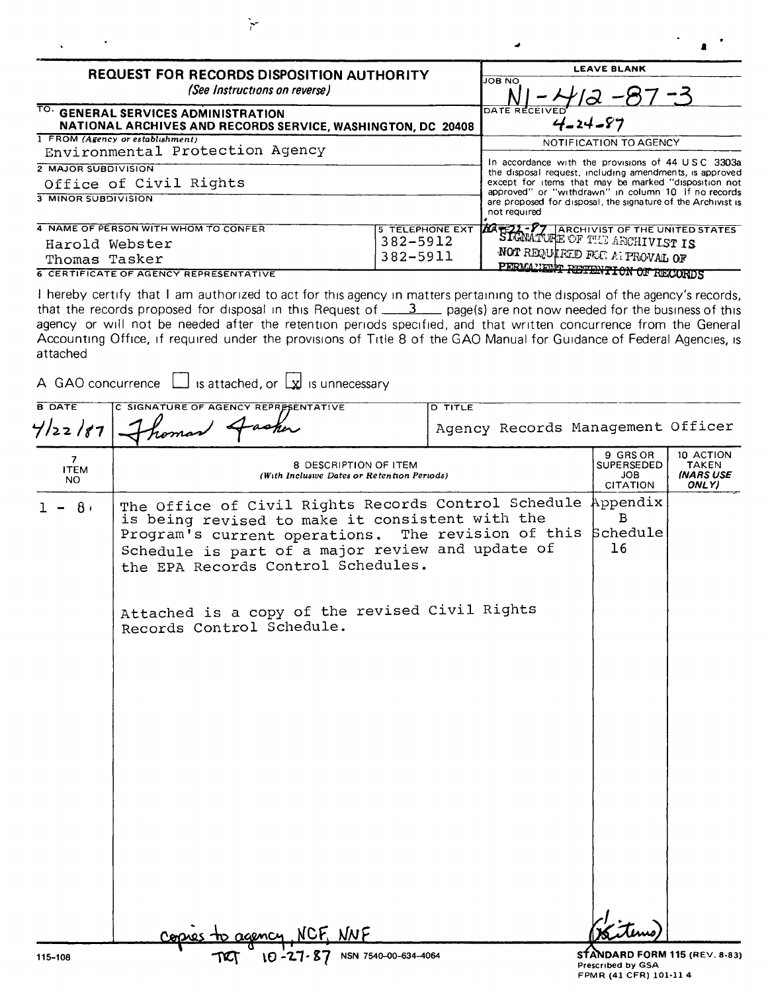| <b>REQUEST FOR RECORDS DISPOSITION AUTHORITY</b><br>(See Instructions on reverse)                  | <b>LEAVE BLANK</b><br><b>JOB NO</b><br>12 –87 –3 |                                                                                                                                     |  |
|----------------------------------------------------------------------------------------------------|--------------------------------------------------|-------------------------------------------------------------------------------------------------------------------------------------|--|
| TO. GENERAL SERVICES ADMINISTRATION<br>NATIONAL ARCHIVES AND RECORDS SERVICE, WASHINGTON, DC 20408 | DATE RECEIVED<br>$4 - 24 - 87$                   |                                                                                                                                     |  |
| 1 FROM (Agency or establishment)<br>Environmental Protection Agency                                |                                                  | NOTIFICATION TO AGENCY<br>In accordance with the provisions of 44 U.S.C. 3303a                                                      |  |
|                                                                                                    |                                                  |                                                                                                                                     |  |
| <b>3 MINOR SUBDIVISION</b>                                                                         |                                                  | approved" or "withdrawn" in column 10 If no records<br>are proposed for disposal, the signature of the Archivist is<br>not required |  |
| 4 NAME OF PERSON WITH WHOM TO CONFER                                                               | <b>5 TELEPHONE EXT</b>                           | <b>MATELL-PT ARCHIVIST OF THE UNITED STATES</b>                                                                                     |  |
| Harold Webster                                                                                     | 382-5912                                         |                                                                                                                                     |  |
| 382-5911<br>Thomas Tasker                                                                          |                                                  | NOT REQUIRED FOR A PROVAL OF                                                                                                        |  |
| 6 CERTIFICATE OF AGENCY REPRESENTATIVE                                                             |                                                  | PERMANENT RETENTION OF RECORDS                                                                                                      |  |

I hereby certify that I am authorized to act for this agency in matters pertaining to the disposal of the agency's records, that the records proposed for disposal in this Request of  $1/2$  page(s) are not now needed for the business of this agency or will not be needed after the retention periods specified, and that written concurrence from the General Accounting Office, if required under the provisions of Title 8 of the GAO Manual for Guidance of Federal Agencies, is attached

A GAO concurrence  $\Box$  is attached, or  $\Box$  is unnecessary

 $\sim$ 

| <b>B DATE</b>                        | C SIGNATURE OF AGENCY REPRESENTATIVE                                                                                                                                                                                                                                                                                                           | <b>D TITLE</b>                    |                                        |                                                 |
|--------------------------------------|------------------------------------------------------------------------------------------------------------------------------------------------------------------------------------------------------------------------------------------------------------------------------------------------------------------------------------------------|-----------------------------------|----------------------------------------|-------------------------------------------------|
| 7/22/87                              |                                                                                                                                                                                                                                                                                                                                                | Agency Records Management Officer |                                        |                                                 |
| $\overline{7}$<br><b>ITEM</b><br>NO. | 8 DESCRIPTION OF ITEM<br>(With Inclusive Dates or Retention Periods)                                                                                                                                                                                                                                                                           |                                   |                                        | 10 ACTION<br><b>TAKEN</b><br>(NARS USE<br>ONLY) |
| 8 <sub>1</sub>                       | The Office of Civil Rights Records Control Schedule Appendix<br>is being revised to make it consistent with the<br>Program's current operations. The revision of this<br>Schedule is part of a major review and update of<br>the EPA Records Control Schedules.<br>Attached is a copy of the revised Civil Rights<br>Records Control Schedule. |                                   | <b>CITATION</b><br>B<br>Schedule<br>16 |                                                 |
| 115-108                              | NSN 7540-00-634-4064<br>$10 - 27 - 87$<br>TCT                                                                                                                                                                                                                                                                                                  |                                   | STANDARD FORM 115 (REV. 8-83)          |                                                 |

STANDARD FORM 115 (REV. 8-83) Prescribed by GSA FPMR (41 CFR) 101-11 4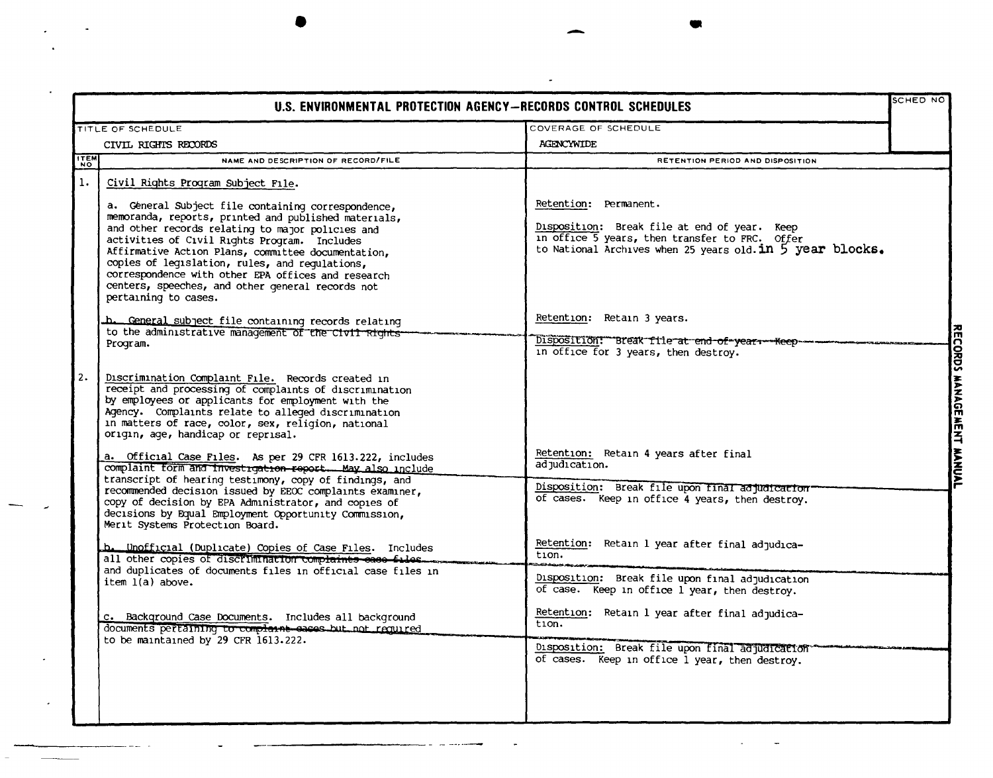|                                      | TITLE OF SCHEDULE                                                                                                                                                                                                                                                                                                                                                                                                                                        | COVERAGE OF SCHEDULE                                                                                                                                                                 |  |
|--------------------------------------|----------------------------------------------------------------------------------------------------------------------------------------------------------------------------------------------------------------------------------------------------------------------------------------------------------------------------------------------------------------------------------------------------------------------------------------------------------|--------------------------------------------------------------------------------------------------------------------------------------------------------------------------------------|--|
|                                      | CIVIL RIGHTS RECORDS                                                                                                                                                                                                                                                                                                                                                                                                                                     | <b>AGENCYWIDE</b>                                                                                                                                                                    |  |
| <b>TTEM</b>                          | NAME AND DESCRIPTION OF RECORD/FILE                                                                                                                                                                                                                                                                                                                                                                                                                      | RETENTION PERIOD AND DISPOSITION                                                                                                                                                     |  |
| 1.                                   | Civil Rights Program Subject File.                                                                                                                                                                                                                                                                                                                                                                                                                       |                                                                                                                                                                                      |  |
|                                      | a. General Subject file containing correspondence,<br>memoranda, reports, printed and published materials,<br>and other records relating to major policies and<br>activities of Civil Rights Program. Includes<br>Affirmative Action Plans, committee documentation,<br>copies of legislation, rules, and requlations,<br>correspondence with other EPA offices and research<br>centers, speeches, and other general records not<br>pertaining to cases. | Retention: Permanent.<br>Disposition: Break file at end of year. Keep<br>in office 5 years, then transfer to FRC. Offer<br>to National Archives when 25 years old. in 5 year blocks. |  |
|                                      | b. General subject file containing records relating<br>to the administrative management of the Civil Rights-                                                                                                                                                                                                                                                                                                                                             | Retention: Retain 3 years.                                                                                                                                                           |  |
|                                      | Program.                                                                                                                                                                                                                                                                                                                                                                                                                                                 | Disposition: Break file at end of year- Keep<br>in office for 3 years, then destroy.                                                                                                 |  |
| 2.                                   | Discrimination Complaint File. Records created in<br>receipt and processing of complaints of discrimination<br>by employees or applicants for employment with the<br>Agency. Complaints relate to alleged discrimination<br>in matters of race, color, sex, religion, national<br>origin, age, handicap or reprisal.                                                                                                                                     |                                                                                                                                                                                      |  |
|                                      | a. Official Case Files. As per 29 CFR 1613.222, includes<br>complaint form and investigation report. May also include<br>transcript of hearing testimony, copy of findings, and                                                                                                                                                                                                                                                                          | Retention: Retain 4 years after final<br>adjudication.                                                                                                                               |  |
|                                      | recommended decision issued by EEOC complaints examiner,<br>copy of decision by EPA Administrator, and copies of<br>decisions by Equal Employment Opportunity Commission,<br>Merit Systems Protection Board.                                                                                                                                                                                                                                             | Disposition: Break file upon final adjudication<br>of cases. Keep in office 4 years, then destroy.                                                                                   |  |
|                                      | b. Unofficial (Duplicate) Copies of Case Files. Includes<br>all other copies of discrimination complaints case files<br>and duplicates of documents files in official case files in                                                                                                                                                                                                                                                                      | Retention: Retain 1 year after final adjudica-<br>tion.                                                                                                                              |  |
|                                      | item 1(a) above.                                                                                                                                                                                                                                                                                                                                                                                                                                         | Disposition: Break file upon final adjudication<br>of case. Keep in office l year, then destroy.                                                                                     |  |
|                                      | c. Background Case Documents. Includes all background<br>documents pertaining to compleint eases but not required                                                                                                                                                                                                                                                                                                                                        | Retention: Retain 1 year after final adjudica-<br>tion.                                                                                                                              |  |
| to be maintained by 29 CFR 1613.222. |                                                                                                                                                                                                                                                                                                                                                                                                                                                          | Disposition: Break file upon final adjudication<br>of cases. Keep in office 1 year, then destroy.                                                                                    |  |
|                                      |                                                                                                                                                                                                                                                                                                                                                                                                                                                          |                                                                                                                                                                                      |  |

 $\overline{\phantom{a}}$ 

 $\mathcal{L}_{\text{max}}$ 

 $\sim$ 

 $\Delta \sim 10^4$ 

 $\sim$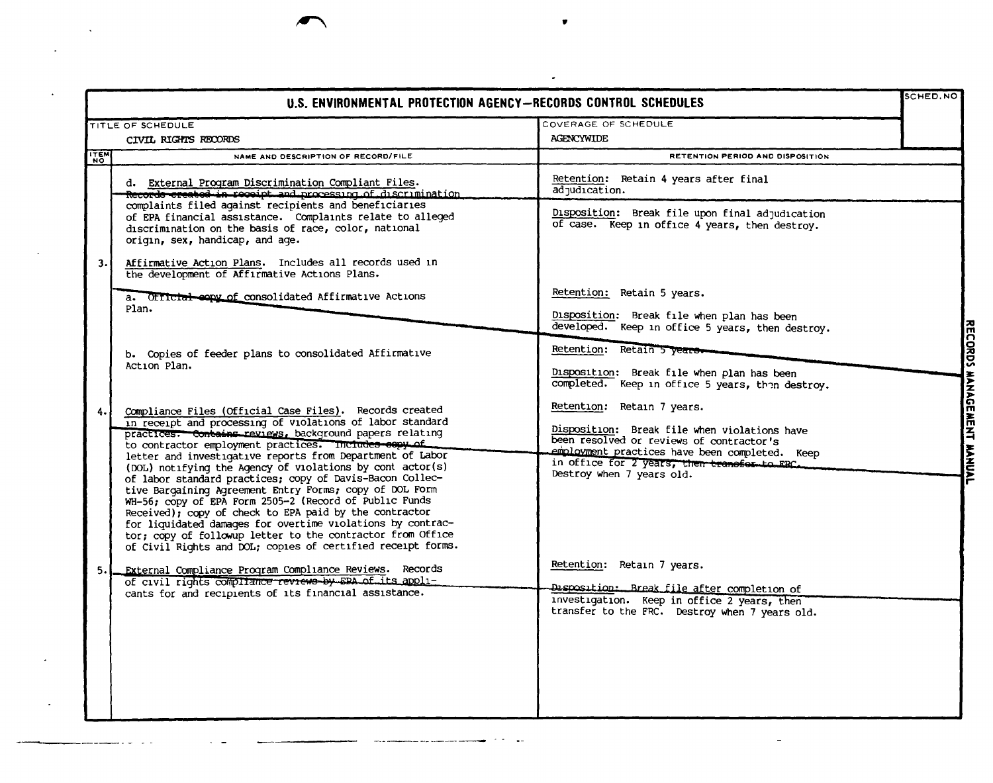|             | U.S. ENVIRONMENTAL PROTECTION AGENCY-RECORDS CONTROL SCHEDULES                                                                                                                                                                                                                                                                                                                                                                                                                                                                                                                                                                                                                                                                                                                                          |                                                                                                                                                                                                                                                       | SCHED.NO |  |
|-------------|---------------------------------------------------------------------------------------------------------------------------------------------------------------------------------------------------------------------------------------------------------------------------------------------------------------------------------------------------------------------------------------------------------------------------------------------------------------------------------------------------------------------------------------------------------------------------------------------------------------------------------------------------------------------------------------------------------------------------------------------------------------------------------------------------------|-------------------------------------------------------------------------------------------------------------------------------------------------------------------------------------------------------------------------------------------------------|----------|--|
|             | TITLE OF SCHEDULE<br>CIVIL RIGHTS RECORDS                                                                                                                                                                                                                                                                                                                                                                                                                                                                                                                                                                                                                                                                                                                                                               | COVERAGE OF SCHEDULE<br><b>AGENCYWIDE</b>                                                                                                                                                                                                             |          |  |
| <b>ITEM</b> | NAME AND DESCRIPTION OF RECORD/FILE                                                                                                                                                                                                                                                                                                                                                                                                                                                                                                                                                                                                                                                                                                                                                                     | RETENTION PERIOD AND DISPOSITION                                                                                                                                                                                                                      |          |  |
|             | d. External Program Discrimination Compliant Files.<br>Records created in receipt and processing of discrimination                                                                                                                                                                                                                                                                                                                                                                                                                                                                                                                                                                                                                                                                                      | Retention: Retain 4 years after final<br>adjudication.                                                                                                                                                                                                |          |  |
|             | complaints filed against recipients and beneficiaries<br>of EPA financial assistance. Complaints relate to alleged<br>discrimination on the basis of race, color, national<br>origin, sex, handicap, and age.                                                                                                                                                                                                                                                                                                                                                                                                                                                                                                                                                                                           | Disposition: Break file upon final adjudication<br>of case. Keep in office 4 years, then destroy.                                                                                                                                                     |          |  |
| 3.          | Affirmative Action Plans. Includes all records used in<br>the development of Affirmative Actions Plans.                                                                                                                                                                                                                                                                                                                                                                                                                                                                                                                                                                                                                                                                                                 |                                                                                                                                                                                                                                                       |          |  |
|             | a. Official copy of consolidated Affirmative Actions<br>Plan.                                                                                                                                                                                                                                                                                                                                                                                                                                                                                                                                                                                                                                                                                                                                           | Retention: Retain 5 years.                                                                                                                                                                                                                            |          |  |
|             | b. Copies of feeder plans to consolidated Affirmative<br>Action Plan.                                                                                                                                                                                                                                                                                                                                                                                                                                                                                                                                                                                                                                                                                                                                   | Disposition: Break file when plan has been<br>developed. Keep in office 5 years, then destroy.<br>Retention: Retain 5 years.<br>Disposition: Break file when plan has been<br>completed. Keep in office 5 years, then destroy.                        |          |  |
| 4,          | Compliance Files (Official Case Files). Records created<br>in receipt and processing of violations of labor standard<br>practices. Contains reviews, background papers relating<br>to contractor employment practices. Includes expy of<br>letter and investigative reports from Department of Labor<br>(DOL) notifying the Agency of violations by cont actor(s)<br>of labor standard practices; copy of Davis-Bacon Collec-<br>tive Bargaining Agreement Entry Forms; copy of DOL Form<br>WH-56; copy of EPA Form 2505-2 (Record of Public Funds<br>Received); copy of check to EPA paid by the contractor<br>for liquidated damages for overtime violations by contrac-<br>tor; copy of followup letter to the contractor from Office<br>of Civil Rights and DOL; copies of certified receipt forms. | Retention: Retain 7 years.<br>Disposition: Break file when violations have<br>been resolved or reviews of contractor's<br>employment practices have been completed. Keep<br>in office for 2 years, then transfer to FRC.<br>Destroy when 7 years old. |          |  |
| 5.          | External Compliance Program Compliance Reviews. Records<br>of civil rights compliance reviews by EDA of its appli-<br>cants for and recipients of its financial assistance.                                                                                                                                                                                                                                                                                                                                                                                                                                                                                                                                                                                                                             | Retention: Retain 7 years.<br>Disposition: Break file after completion of<br>investigation. Keep in office 2 years, then<br>transfer to the FRC. Destroy when 7 years old.                                                                            |          |  |

 $\mathcal{F}(\mathcal{F})$  , we

 $\alpha_{\rm{eff}}=0.01$ 

 $\mathcal{L}^{\text{max}}_{\text{max}}$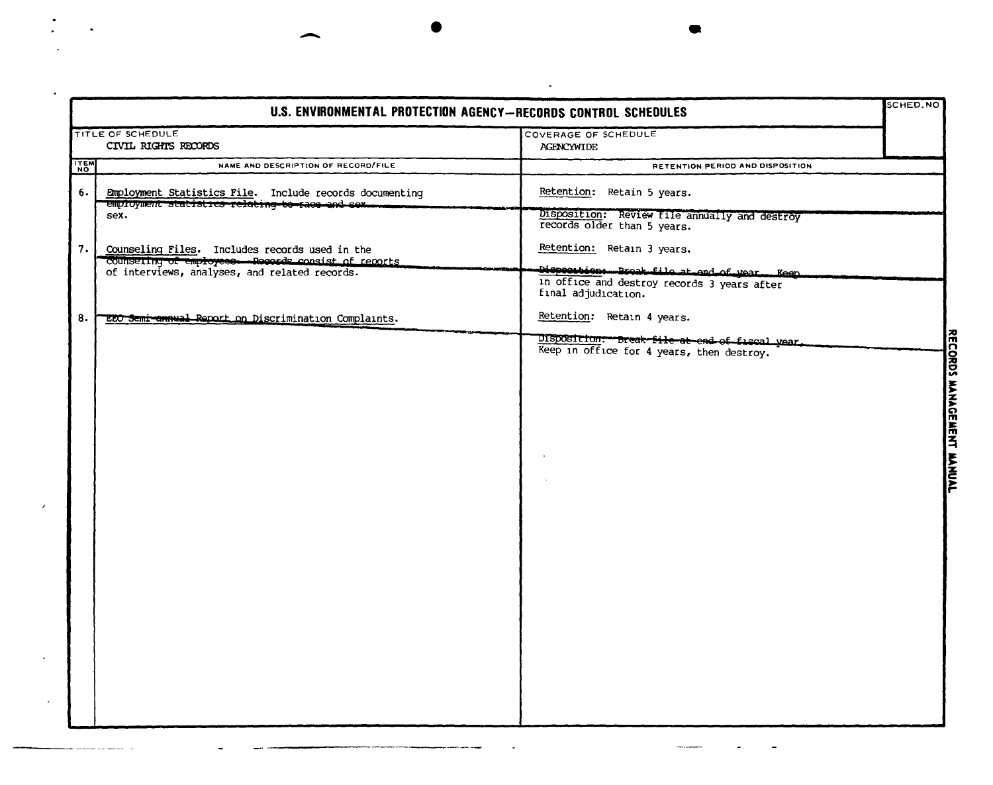|                   |                                                                                                           | U.S. ENVIRONMENTAL PROTECTION AGENCY-RECORDS CONTROL SCHEDULES                                                      | SCHED.NO |
|-------------------|-----------------------------------------------------------------------------------------------------------|---------------------------------------------------------------------------------------------------------------------|----------|
| TITLE OF SCHEDULE |                                                                                                           | COVERAGE OF SCHEDULE                                                                                                |          |
|                   | CIVIL RIGHTS RECORDS                                                                                      | <b>AGENCYWIDE</b>                                                                                                   |          |
| <b>ITEM</b>       | NAME AND DESCRIPTION OF RECORD/FILE                                                                       | RETENTION PERIOD AND DISPOSITION                                                                                    |          |
| 6.                | Employment Statistics File. Include records documenting<br>employment statistics relating to race and sex | Retention: Retain 5 years.                                                                                          |          |
|                   | sex.                                                                                                      | Disposition: Review file annually and destroy<br>records older than 5 years.                                        |          |
| 7.1               | Counseling Files. Includes records used in the<br>counsering of employees. Records consist of reports     | Retention: Retain 3 years.                                                                                          |          |
|                   | of interviews, analyses, and related records.                                                             | Dispecttions Proak file at end of wear . Keen<br>in office and destroy records 3 years after<br>final adjudication. |          |
| 8.                | EEO Semi-annual Report on Discrimination Complaints.                                                      | Retention: Retain 4 years.                                                                                          |          |
|                   |                                                                                                           | DISposition: Break-file at end of fiscal year.<br>Keep in office for 4 years, then destroy.                         |          |
|                   |                                                                                                           |                                                                                                                     |          |
|                   |                                                                                                           |                                                                                                                     |          |
|                   |                                                                                                           |                                                                                                                     |          |

 $\langle \star \rangle$ 

 $\bar{\lambda}$ 

 $\sigma_{\rm{max}}$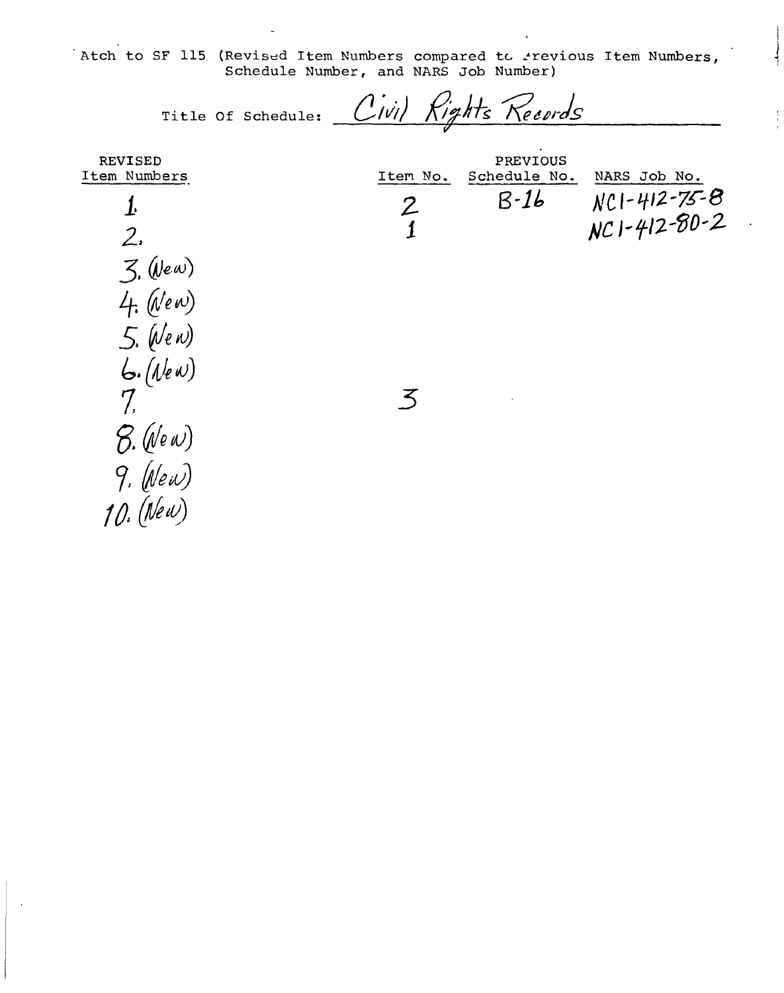Atch to SF 115 (Revised Item Numbers compared to Frevious Item Numbers,<br>Schedule Number, and NARS Job Number)

 $\frac{1}{2}$ 

÷.

Civil Rights Records Title Of Schedule:

| <b>REVISED</b> |               | PREVIOUS     |                      |
|----------------|---------------|--------------|----------------------|
| Item Numbers   | Item No.      | Schedule No. | NARS Job No.         |
| Ŀ              | $\mathcal{Z}$ | $B-16$       | $NC1 - 412 - 75 - 8$ |
| 2.             |               |              | NC1-412-80-2         |
| $3.$ (New)     |               |              |                      |
| $4.$ (New)     |               |              |                      |
| $5.$ (New)     |               |              |                      |
| $6.$ (New)     |               |              |                      |
| 7              | ス             |              |                      |
| $B.$ (New)     |               |              |                      |
| $9.$ (New)     |               |              |                      |
| 10. (New)      |               |              |                      |
|                |               |              |                      |